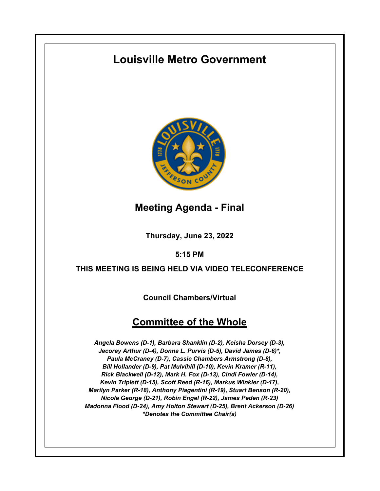# **Louisville Metro Government**



**Meeting Agenda - Final**

**Thursday, June 23, 2022**

**5:15 PM**

### **THIS MEETING IS BEING HELD VIA VIDEO TELECONFERENCE**

**Council Chambers/Virtual**

## **Committee of the Whole**

*Angela Bowens (D-1), Barbara Shanklin (D-2), Keisha Dorsey (D-3), Jecorey Arthur (D-4), Donna L. Purvis (D-5), David James (D-6)\*, Paula McCraney (D-7), Cassie Chambers Armstrong (D-8), Bill Hollander (D-9), Pat Mulvihill (D-10), Kevin Kramer (R-11), Rick Blackwell (D-12), Mark H. Fox (D-13), Cindi Fowler (D-14), Kevin Triplett (D-15), Scott Reed (R-16), Markus Winkler (D-17), Marilyn Parker (R-18), Anthony Piagentini (R-19), Stuart Benson (R-20), Nicole George (D-21), Robin Engel (R-22), James Peden (R-23) Madonna Flood (D-24), Amy Holton Stewart (D-25), Brent Ackerson (D-26) \*Denotes the Committee Chair(s)*